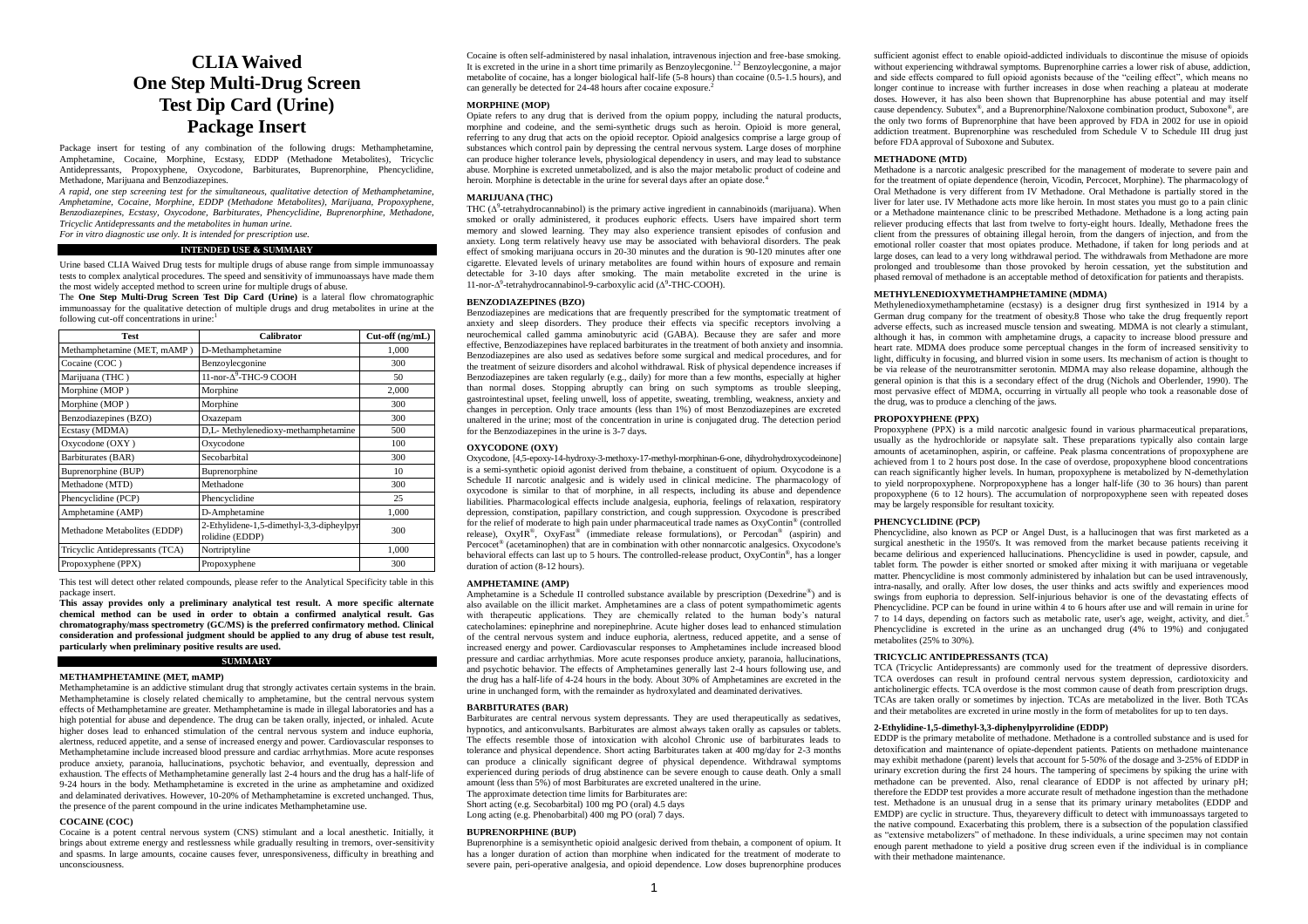# **CLIA Waived One Step Multi-Drug Screen Test Dip Card (Urine) Package Insert**

Package insert for testing of any combination of the following drugs: Methamphetamine, Amphetamine, Cocaine, Morphine, Ecstasy, EDDP (Methadone Metabolites), Tricyclic Antidepressants, Propoxyphene, Oxycodone, Barbiturates, Buprenorphine, Phencyclidine, Methadone, Marijuana and Benzodiazepines.

*A rapid, one step screening test for the simultaneous, qualitative detection of Methamphetamine, Amphetamine, Cocaine, Morphine, EDDP (Methadone Metabolites), Marijuana, Propoxyphene, Benzodiazepines, Ecstasy, Oxycodone, Barbiturates, Phencyclidine, Buprenorphine, Methadone, Tricyclic Antidepressants and the metabolites in human urine.* 

*For in vitro diagnostic use only. It is intended for prescription use.*

# **INTENDED USE & SUMMARY**

Urine based CLIA Waived Drug tests for multiple drugs of abuse range from simple immunoassay tests to complex analytical procedures. The speed and sensitivity of immunoassays have made them the most widely accepted method to screen urine for multiple drugs of abuse.

The **One Step Multi-Drug Screen Test Dip Card (Urine)** is a lateral flow chromatographic immunoassay for the qualitative detection of multiple drugs and drug metabolites in urine at the following cut-off concentrations in urine:<sup>1</sup>

| <b>Test</b>                     | Calibrator                                                  | $Cut-off$ (ng/mL) |
|---------------------------------|-------------------------------------------------------------|-------------------|
| Methamphetamine (MET, mAMP)     | D-Methamphetamine                                           | 1,000             |
| Cocaine (COC)                   | Benzoylecgonine                                             | 300               |
| Marijuana (THC)                 | 11-nor- $\Delta^9$ -THC-9 COOH                              | 50                |
| Morphine (MOP)                  | Morphine                                                    | 2,000             |
| Morphine (MOP)                  | Morphine                                                    | 300               |
| Benzodiazepines (BZO)           | Oxazepam                                                    | 300               |
| Ecstasy (MDMA)                  | D,L- Methylenedioxy-methamphetamine                         | 500               |
| Oxycodone (OXY)                 | Oxycodone                                                   | 100               |
| Barbiturates (BAR)              | Secobarbital                                                | 300               |
| Buprenorphine (BUP)             | Buprenorphine                                               | 10                |
| Methadone (MTD)                 | Methadone                                                   | 300               |
| Phencyclidine (PCP)             | Phencyclidine                                               | 25                |
| Amphetamine (AMP)               | D-Amphetamine                                               | 1,000             |
| Methadone Metabolites (EDDP)    | 2-Ethylidene-1,5-dimethyl-3,3-dipheylpyr<br>rolidine (EDDP) | 300               |
| Tricyclic Antidepressants (TCA) | Nortriptyline                                               | 1,000             |
| Propoxyphene (PPX)              | Propoxyphene                                                | 300               |

This test will detect other related compounds, please refer to the Analytical Specificity table in this package insert.

**This assay provides only a preliminary analytical test result. A more specific alternate chemical method can be used in order to obtain a confirmed analytical result. Gas chromatography/mass spectrometry (GC/MS) is the preferred confirmatory method. Clinical consideration and professional judgment should be applied to any drug of abuse test result, particularly when preliminary positive results are used.**

# **SUMMARY**

**METHAMPHETAMINE (MET, mAMP)**

Methamphetamine is an addictive stimulant drug that strongly activates certain systems in the brain. Methamphetamine is closely related chemically to amphetamine, but the central nervous system effects of Methamphetamine are greater. Methamphetamine is made in illegal laboratories and has a high potential for abuse and dependence. The drug can be taken orally, injected, or inhaled. Acute higher doses lead to enhanced stimulation of the central nervous system and induce euphoria, alertness, reduced appetite, and a sense of increased energy and power. Cardiovascular responses to Methamphetamine include increased blood pressure and cardiac arrhythmias. More acute responses produce anxiety, paranoia, hallucinations, psychotic behavior, and eventually, depression and exhaustion. The effects of Methamphetamine generally last 2-4 hours and the drug has a half-life of 9-24 hours in the body. Methamphetamine is excreted in the urine as amphetamine and oxidized and delaminated derivatives. However, 10-20% of Methamphetamine is excreted unchanged. Thus, the presence of the parent compound in the urine indicates Methamphetamine use.

#### **COCAINE (COC)**

Cocaine is a potent central nervous system (CNS) stimulant and a local anesthetic. Initially, it brings about extreme energy and restlessness while gradually resulting in tremors, over-sensitivity and spasms. In large amounts, cocaine causes fever, unresponsiveness, difficulty in breathing and unconsciousness.

Cocaine is often self-administered by nasal inhalation, intravenous injection and free-base smoking. It is excreted in the urine in a short time primarily as Benzoylecgonine.<sup>1.2</sup> Benzoylecgonine, a major metabolite of cocaine, has a longer biological half-life (5-8 hours) than cocaine (0.5-1.5 hours), and can generally be detected for 24-48 hours after cocaine exposure.<sup>2</sup>

# **MORPHINE (MOP)**

Opiate refers to any drug that is derived from the opium poppy, including the natural products, morphine and codeine, and the semi-synthetic drugs such as heroin. Opioid is more general, referring to any drug that acts on the opioid receptor. Opioid analgesics comprise a large group of substances which control pain by depressing the central nervous system. Large doses of morphine can produce higher tolerance levels, physiological dependency in users, and may lead to substance abuse. Morphine is excreted unmetabolized, and is also the major metabolic product of codeine and heroin. Morphine is detectable in the urine for several days after an opiate dose.<sup>4</sup>

#### **MARIHIANA (THC)**

THC  $(\Delta^9$ -tetrahydrocannabinol) is the primary active ingredient in cannabinoids (marijuana). When smoked or orally administered, it produces euphoric effects. Users have impaired short term memory and slowed learning. They may also experience transient episodes of confusion and anxiety. Long term relatively heavy use may be associated with behavioral disorders. The peak effect of smoking marijuana occurs in 20-30 minutes and the duration is 90-120 minutes after one cigarette. Elevated levels of urinary metabolites are found within hours of exposure and remain detectable for 3-10 days after smoking. The main metabolite excreted in the urine is 11-nor-Δ<sup>9</sup>-tetrahydrocannabinol-9-carboxylic acid (Δ<sup>9</sup>-THC-COOH).

# **BENZODIAZEPINES (BZO)**

Benzodiazepines are medications that are frequently prescribed for the symptomatic treatment of anxiety and sleep disorders. They produce their effects via specific receptors involving a neurochemical called gamma aminobutyric acid (GABA). Because they are safer and more effective, Benzodiazepines have replaced barbiturates in the treatment of both anxiety and insomnia. Benzodiazepines are also used as sedatives before some surgical and medical procedures, and for the treatment of seizure disorders and alcohol withdrawal. Risk of physical dependence increases if Benzodiazepines are taken regularly (e.g., daily) for more than a few months, especially at higher than normal doses. Stopping abruptly can bring on such symptoms as trouble sleeping, gastrointestinal upset, feeling unwell, loss of appetite, sweating, trembling, weakness, anxiety and changes in perception. Only trace amounts (less than 1%) of most Benzodiazepines are excreted unaltered in the urine; most of the concentration in urine is conjugated drug. The detection period for the Benzodiazepines in the urine is 3-7 days.

### **OXYCODONE (OXY)**

Oxycodone, [4,5-epoxy-14-hydroxy-3-methoxy-17-methyl-morphinan-6-one, dihydrohydroxycodeinone] is a semi-synthetic opioid agonist derived from thebaine, a constituent of opium. Oxycodone is a Schedule II narcotic analgesic and is widely used in clinical medicine. The pharmacology of oxycodone is similar to that of morphine, in all respects, including its abuse and dependence liabilities. Pharmacological effects include analgesia, euphoria, feelings of relaxation, respiratory depression, constipation, papillary constriction, and cough suppression. Oxycodone is prescribed for the relief of moderate to high pain under pharmaceutical trade names as OxyContin® (controlled release), OxyIR®, OxyFast® (immediate release formulations), or Percodan® (aspirin) and Percocet<sup>®</sup> (acetaminophen) that are in combination with other nonnarcotic analgesics. Oxycodone's behavioral effects can last up to 5 hours. The controlled-release product, OxyContin®, has a longer duration of action (8-12 hours).

#### **AMPHETAMINE (AMP)**

Amphetamine is a Schedule II controlled substance available by prescription (Dexedrine® ) and is also available on the illicit market. Amphetamines are a class of potent sympathomimetic agents with therapeutic applications. They are chemically related to the human body's natural catecholamines: epinephrine and norepinephrine. Acute higher doses lead to enhanced stimulation of the central nervous system and induce euphoria, alertness, reduced appetite, and a sense of increased energy and power. Cardiovascular responses to Amphetamines include increased blood pressure and cardiac arrhythmias. More acute responses produce anxiety, paranoia, hallucinations, and psychotic behavior. The effects of Amphetamines generally last 2-4 hours following use, and the drug has a half-life of 4-24 hours in the body. About 30% of Amphetamines are excreted in the urine in unchanged form, with the remainder as hydroxylated and deaminated derivatives.

### **BARBITURATES (BAR)**

Barbiturates are central nervous system depressants. They are used therapeutically as sedatives, hypnotics, and anticonvulsants. Barbiturates are almost always taken orally as capsules or tablets. The effects resemble those of intoxication with alcohol Chronic use of barbiturates leads to tolerance and physical dependence. Short acting Barbiturates taken at 400 mg/day for 2-3 months can produce a clinically significant degree of physical dependence. Withdrawal symptoms experienced during periods of drug abstinence can be severe enough to cause death. Only a small amount (less than 5%) of most Barbiturates are excreted unaltered in the urine. The approximate detection time limits for Barbiturates are: Short acting (e.g. Secobarbital) 100 mg PO (oral) 4.5 days

Long acting (e.g. Phenobarbital) 400 mg PO (oral) 7 days.

#### **BUPRENORPHINE (BUP)**

Buprenorphine is a semisynthetic opioid analgesic derived from thebain, a component of opium. It has a longer duration of action than morphine when indicated for the treatment of moderate to severe pain, peri-operative analgesia, and opioid dependence. Low doses buprenorphine produces sufficient agonist effect to enable opioid-addicted individuals to discontinue the misuse of opioids without experiencing withdrawal symptoms. Buprenorphine carries a lower risk of abuse, addiction, and side effects compared to full opioid agonists because of the "ceiling effect", which means no longer continue to increase with further increases in dose when reaching a plateau at moderate doses. However, it has also been shown that Buprenorphine has abuse potential and may itself cause dependency. Subutex® , and a Buprenorphine/Naloxone combination product, Suboxone® , are the only two forms of Buprenorphine that have been approved by FDA in 2002 for use in opioid addiction treatment. Buprenorphine was rescheduled from Schedule V to Schedule III drug just before FDA approval of Suboxone and Subutex.

### **METHADONE (MTD)**

Methadone is a narcotic analgesic prescribed for the management of moderate to severe pain and for the treatment of opiate dependence (heroin, Vicodin, Percocet, Morphine). The pharmacology of Oral Methadone is very different from IV Methadone. Oral Methadone is partially stored in the liver for later use. IV Methadone acts more like heroin. In most states you must go to a pain clinic or a Methadone maintenance clinic to be prescribed Methadone. Methadone is a long acting pain reliever producing effects that last from twelve to forty-eight hours. Ideally, Methadone frees the client from the pressures of obtaining illegal heroin, from the dangers of injection, and from the emotional roller coaster that most opiates produce. Methadone, if taken for long periods and at large doses, can lead to a very long withdrawal period. The withdrawals from Methadone are more prolonged and troublesome than those provoked by heroin cessation, yet the substitution and phased removal of methadone is an acceptable method of detoxification for patients and therapists.

# **METHYLENEDIOXYMETHAMPHETAMINE (MDMA)**

Methylenedioxymethamphetamine (ecstasy) is a designer drug first synthesized in 1914 by a German drug company for the treatment of obesity.8 Those who take the drug frequently report adverse effects, such as increased muscle tension and sweating. MDMA is not clearly a stimulant, although it has, in common with amphetamine drugs, a capacity to increase blood pressure and heart rate. MDMA does produce some perceptual changes in the form of increased sensitivity to light, difficulty in focusing, and blurred vision in some users. Its mechanism of action is thought to be via release of the neurotransmitter serotonin. MDMA may also release dopamine, although the general opinion is that this is a secondary effect of the drug (Nichols and Oberlender, 1990). The most pervasive effect of MDMA, occurring in virtually all people who took a reasonable dose of the drug, was to produce a clenching of the jaws.

# **PROPOXYPHENE (PPX)**

Propoxyphene (PPX) is a mild narcotic analgesic found in various pharmaceutical preparations, usually as the hydrochloride or napsylate salt. These preparations typically also contain large amounts of acetaminophen, aspirin, or caffeine. Peak plasma concentrations of propoxyphene are achieved from 1 to 2 hours post dose. In the case of overdose, propoxyphene blood concentrations can reach significantly higher levels. In human, propoxyphene is metabolized by N-demethylation to yield norpropoxyphene. Norpropoxyphene has a longer half-life (30 to 36 hours) than parent propoxyphene (6 to 12 hours). The accumulation of norpropoxyphene seen with repeated doses may be largely responsible for resultant toxicity.

## **PHENCYCLIDINE (PCP)**

Phencyclidine, also known as PCP or Angel Dust, is a hallucinogen that was first marketed as a surgical anesthetic in the 1950's. It was removed from the market because patients receiving it became delirious and experienced hallucinations. Phencyclidine is used in powder, capsule, and tablet form. The powder is either snorted or smoked after mixing it with marijuana or vegetable matter. Phencyclidine is most commonly administered by inhalation but can be used intravenously, intra-nasally, and orally. After low doses, the user thinks and acts swiftly and experiences mood swings from euphoria to depression. Self-injurious behavior is one of the devastating effects of Phencyclidine. PCP can be found in urine within 4 to 6 hours after use and will remain in urine for 7 to 14 days, depending on factors such as metabolic rate, user's age, weight, activity, and diet.<sup>5</sup> Phencyclidine is excreted in the urine as an unchanged drug (4% to 19%) and conjugated metabolites (25% to 30%).

### **TRICYCLIC ANTIDEPRESSANTS (TCA)**

TCA (Tricyclic Antidepressants) are commonly used for the treatment of depressive disorders. TCA overdoses can result in profound central nervous system depression, cardiotoxicity and anticholinergic effects. TCA overdose is the most common cause of death from prescription drugs. TCAs are taken orally or sometimes by injection. TCAs are metabolized in the liver. Both TCAs and their metabolites are excreted in urine mostly in the form of metabolites for up to ten days.

# **2-Ethylidine-1,5-dimethyl-3,3-diphenylpyrrolidine (EDDP)**

EDDP is the primary metabolite of methadone. Methadone is a controlled substance and is used for detoxification and maintenance of opiate-dependent patients. Patients on methadone maintenance may exhibit methadone (parent) levels that account for 5-50% of the dosage and 3-25% of EDDP in urinary excretion during the first 24 hours. The tampering of specimens by spiking the urine with methadone can be prevented. Also, renal clearance of EDDP is not affected by urinary pH; therefore the EDDP test provides a more accurate result of methadone ingestion than the methadone test. Methadone is an unusual drug in a sense that its primary urinary metabolites (EDDP and EMDP) are cyclic in structure. Thus, theyarevery difficult to detect with immunoassays targeted to the native compound. Exacerbating this problem, there is a subsection of the population classified as "extensive metabolizers" of methadone. In these individuals, a urine specimen may not contain enough parent methadone to yield a positive drug screen even if the individual is in compliance with their methadone maintenance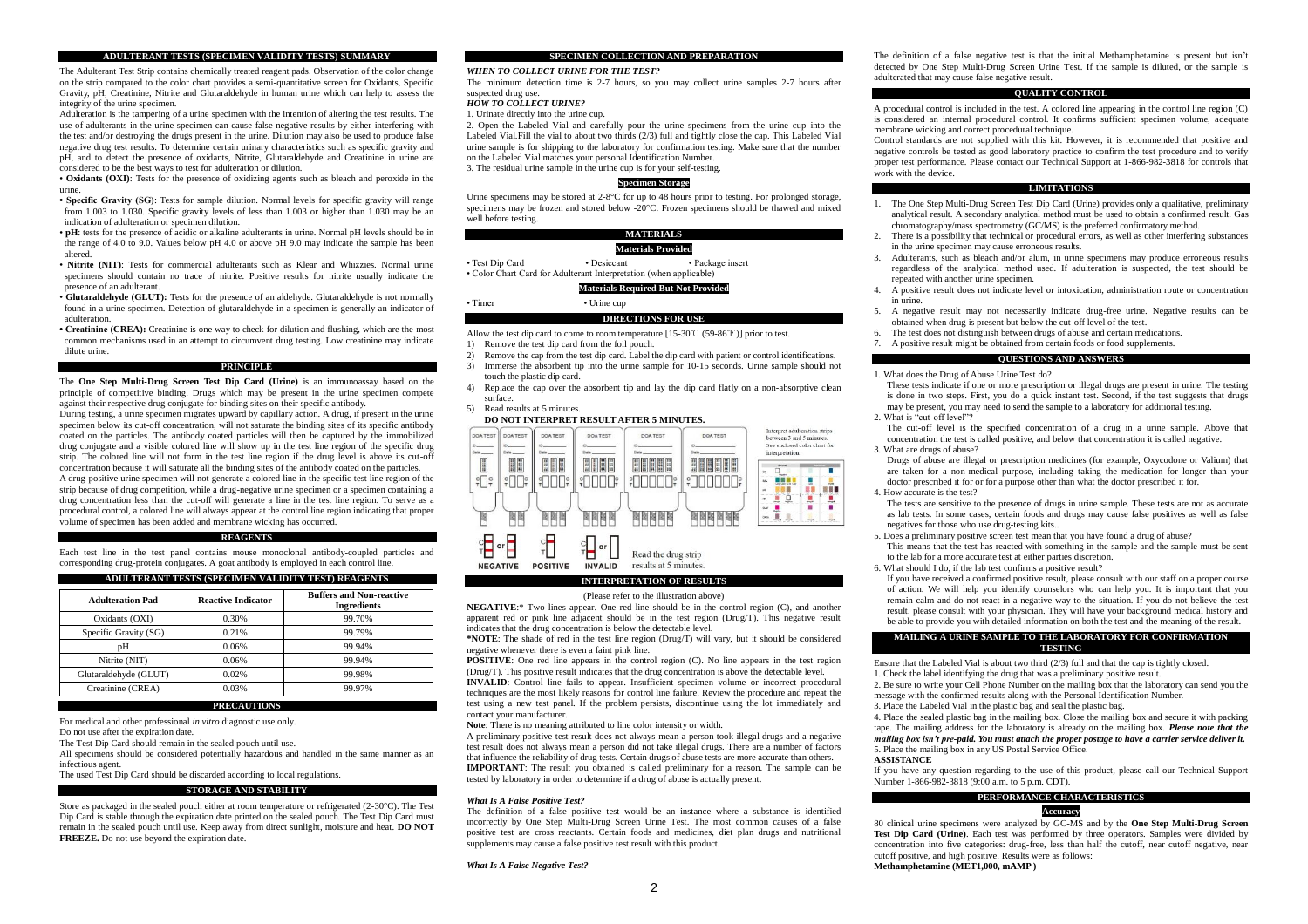# **ADULTERANT TESTS (SPECIMEN VALIDITY TESTS) SUMMARY**

The Adulterant Test Strip contains chemically treated reagent pads. Observation of the color change on the strip compared to the color chart provides a semi-quantitative screen for Oxidants, Specific Gravity, pH, Creatinine, Nitrite and Glutaraldehyde in human urine which can help to assess the integrity of the urine specimen.

Adulteration is the tampering of a urine specimen with the intention of altering the test results. The use of adulterants in the urine specimen can cause false negative results by either interfering with the test and/or destroying the drugs present in the urine. Dilution may also be used to produce false negative drug test results. To determine certain urinary characteristics such as specific gravity and pH, and to detect the presence of oxidants, Nitrite, Glutaraldehyde and Creatinine in urine are considered to be the best ways to test for adulteration or dilution.

• **Oxidants (OXI)**: Tests for the presence of oxidizing agents such as bleach and peroxide in the urine.

• **Specific Gravity (SG)**: Tests for sample dilution. Normal levels for specific gravity will range from 1.003 to 1.030. Specific gravity levels of less than 1.003 or higher than 1.030 may be an indication of adulteration or specimen dilution.

- **pH**: tests for the presence of acidic or alkaline adulterants in urine. Normal pH levels should be in the range of 4.0 to 9.0. Values below pH 4.0 or above pH 9.0 may indicate the sample has been altered.
- **Nitrite (NIT)**: Tests for commercial adulterants such as Klear and Whizzies. Normal urine specimens should contain no trace of nitrite. Positive results for nitrite usually indicate the presence of an adulterant.
- **Glutaraldehyde (GLUT):** Tests for the presence of an aldehyde. Glutaraldehyde is not normally found in a urine specimen. Detection of glutaraldehyde in a specimen is generally an indicator of adulteration.
- **Creatinine (CREA):** Creatinine is one way to check for dilution and flushing, which are the most common mechanisms used in an attempt to circumvent drug testing. Low creatinine may indicate dilute urine.

# **PRINCIPLE**

The **One Step Multi-Drug Screen Test Dip Card (Urine)** is an immunoassay based on the principle of competitive binding. Drugs which may be present in the urine specimen compete against their respective drug conjugate for binding sites on their specific antibody.

During testing, a urine specimen migrates upward by capillary action. A drug, if present in the urine specimen below its cut-off concentration, will not saturate the binding sites of its specific antibody coated on the particles. The antibody coated particles will then be captured by the immobilized drug conjugate and a visible colored line will show up in the test line region of the specific drug strip. The colored line will not form in the test line region if the drug level is above its cut-off concentration because it will saturate all the binding sites of the antibody coated on the particles. A drug-positive urine specimen will not generate a colored line in the specific test line region of the strip because of drug competition, while a drug-negative urine specimen or a specimen containing a drug concentration less than the cut-off will generate a line in the test line region. To serve as a procedural control, a colored line will always appear at the control line region indicating that proper volume of specimen has been added and membrane wicking has occurred.

### **REAGENTS**

Each test line in the test panel contains mouse monoclonal antibody-coupled particles and corresponding drug-protein conjugates. A goat antibody is employed in each control line.

# **ADULTERANT TESTS (SPECIMEN VALIDITY TEST) REAGENTS**

| <b>Adulteration Pad</b> | <b>Reactive Indicator</b> | <b>Buffers and Non-reactive</b><br><b>Ingredients</b> |
|-------------------------|---------------------------|-------------------------------------------------------|
| Oxidants (OXI)          | 0.30%                     | 99.70%                                                |
| Specific Gravity (SG)   | 0.21%                     | 99.79%                                                |
| pΗ                      | 0.06%                     | 99.94%                                                |
| Nitrite (NIT)           | 0.06%                     | 99.94%                                                |
| Glutaraldehyde (GLUT)   | 0.02%                     | 99.98%                                                |
| Creatinine (CREA)       | 0.03%                     | 99.97%                                                |

# **PRECAUTIONS**

For medical and other professional *in vitro* diagnostic use only.

Do not use after the expiration date.

The Test Dip Card should remain in the sealed pouch until use.

All specimens should be considered potentially hazardous and handled in the same manner as an infectious agent.

The used Test Dip Card should be discarded according to local regulations.

#### **STORAGE AND STABILITY**

Store as packaged in the sealed pouch either at room temperature or refrigerated (2-30 $\degree$ C). The Test Dip Card is stable through the expiration date printed on the sealed pouch. The Test Dip Card must remain in the sealed pouch until use. Keep away from direct sunlight, moisture and heat. **DO NOT FREEZE.** Do not use beyond the expiration date.

# **SPECIMEN COLLECTION AND PREPARATION**

### *WHEN TO COLLECT URINE FOR THE TEST?*

The minimum detection time is 2-7 hours, so you may collect urine samples 2-7 hours after suspected drug use.

#### *HOW TO COLLECT URINE?*

1. Urinate directly into the urine cup.

2. Open the Labeled Vial and carefully pour the urine specimens from the urine cup into the Labeled Vial.Fill the vial to about two thirds (2/3) full and tightly close the cap. This Labeled Vial urine sample is for shipping to the laboratory for confirmation testing. Make sure that the number on the Labeled Vial matches your personal Identification Number. 3. The residual urine sample in the urine cup is for your self-testing.

# **Specimen Storage**

Urine specimens may be stored at  $2-8$ °C for up to 48 hours prior to testing. For prolonged storage, specimens may be frozen and stored below -20°C. Frozen specimens should be thawed and mixed well before testing.

# **MATERIALS**

# **Materials Provided**

• Test Dip Card • Desiccant • Package insert

• Color Chart Card for Adulterant Interpretation (when applicable)

# **Materials Required But Not Provided**

• Timer • Urine cup

#### **DIRECTIONS FOR USE**

Allow the test dip card to come to room temperature [15-30℃ (59-86℉)] prior to test.

- 1) Remove the test dip card from the foil pouch.
- 2) Remove the cap from the test dip card. Label the dip card with patient or control identifications. 3) Immerse the absorbent tip into the urine sample for 10-15 seconds. Urine sample should not touch the plastic dip card.
- 4) Replace the cap over the absorbent tip and lay the dip card flatly on a non-absorptive clean surface.
- 5) Read results at 5 minutes.

### **DO NOT INTERPRET RESULT AFTER 5 MINUTES.**



# **INTERPRETATION OF RESULTS**

(Please refer to the illustration above)

**NEGATIVE**:\* Two lines appear. One red line should be in the control region (C), and another apparent red or pink line adjacent should be in the test region (Drug/T). This negative result indicates that the drug concentration is below the detectable level.

**\*NOTE**: The shade of red in the test line region (Drug/T) will vary, but it should be considered negative whenever there is even a faint pink line.

**POSITIVE**: One red line appears in the control region (C). No line appears in the test region (Drug/T). This positive result indicates that the drug concentration is above the detectable level. **INVALID**: Control line fails to appear. Insufficient specimen volume or incorrect procedural techniques are the most likely reasons for control line failure. Review the procedure and repeat the test using a new test panel. If the problem persists, discontinue using the lot immediately and contact your manufacturer.

**Note**: There is no meaning attributed to line color intensity or width.

A preliminary positive test result does not always mean a person took illegal drugs and a negative test result does not always mean a person did not take illegal drugs. There are a number of factors that influence the reliability of drug tests. Certain drugs of abuse tests are more accurate than others. **IMPORTANT**: The result you obtained is called preliminary for a reason. The sample can be tested by laboratory in order to determine if a drug of abuse is actually present.

#### *What Is A False Positive Test?*

The definition of a false positive test would be an instance where a substance is identified incorrectly by One Step Multi-Drug Screen Urine Test. The most common causes of a false positive test are cross reactants. Certain foods and medicines, diet plan drugs and nutritional supplements may cause a false positive test result with this product.

#### *What Is A False Negative Test?*

#### **QUALITY CONTROL**

A procedural control is included in the test. A colored line appearing in the control line region (C) is considered an internal procedural control. It confirms sufficient specimen volume, adequate membrane wicking and correct procedural technique.

Control standards are not supplied with this kit. However, it is recommended that positive and negative controls be tested as good laboratory practice to confirm the test procedure and to verify proper test performance. Please contact our Technical Support at 1-866-982-3818 for controls that work with the device.

#### **LIMITATIONS**

- 1. The One Step Multi-Drug Screen Test Dip Card (Urine) provides only a qualitative, preliminary analytical result. A secondary analytical method must be used to obtain a confirmed result. Gas chromatography/mass spectrometry (GC/MS) is the preferred confirmatory method.
- 2. There is a possibility that technical or procedural errors, as well as other interfering substances in the urine specimen may cause erroneous results.
- 3. Adulterants, such as bleach and/or alum, in urine specimens may produce erroneous results regardless of the analytical method used. If adulteration is suspected, the test should be repeated with another urine specimen.
- 4. A positive result does not indicate level or intoxication, administration route or concentration in urine.
- 5. A negative result may not necessarily indicate drug-free urine. Negative results can be obtained when drug is present but below the cut-off level of the test.
- The test does not distinguish between drugs of abuse and certain medications.
- A positive result might be obtained from certain foods or food supplements.

#### **QUESTIONS AND ANSWERS**

1. What does the Drug of Abuse Urine Test do?

- These tests indicate if one or more prescription or illegal drugs are present in urine. The testing is done in two steps. First, you do a quick instant test. Second, if the test suggests that drugs may be present, you may need to send the sample to a laboratory for additional testing.
- 2. What is "cut-off level"?

The cut-off level is the specified concentration of a drug in a urine sample. Above that concentration the test is called positive, and below that concentration it is called negative. 3. What are drugs of abuse?

- Drugs of abuse are illegal or prescription medicines (for example, Oxycodone or Valium) that are taken for a non-medical purpose, including taking the medication for longer than your doctor prescribed it for or for a purpose other than what the doctor prescribed it for.
- 4. How accurate is the test?

The tests are sensitive to the presence of drugs in urine sample. These tests are not as accurate as lab tests. In some cases, certain foods and drugs may cause false positives as well as false negatives for those who use drug-testing kits..

- 5. Does a preliminary positive screen test mean that you have found a drug of abuse?
- This means that the test has reacted with something in the sample and the sample must be sent to the lab for a more accurate test at either parties discretion.
- 6. What should I do, if the lab test confirms a positive result?

If you have received a confirmed positive result, please consult with our staff on a proper course of action. We will help you identify counselors who can help you. It is important that you remain calm and do not react in a negative way to the situation. If you do not believe the test result, please consult with your physician. They will have your background medical history and be able to provide you with detailed information on both the test and the meaning of the result.

### **MAILING A URINE SAMPLE TO THE LABORATORY FOR CONFIRMATION TESTING**

Ensure that the Labeled Vial is about two third (2/3) full and that the cap is tightly closed.

- 1. Check the label identifying the drug that was a preliminary positive result.
- 2. Be sure to write your Cell Phone Number on the mailing box that the laboratory can send you the message with the confirmed results along with the Personal Identification Number.
- 3. Place the Labeled Vial in the plastic bag and seal the plastic bag. 4. Place the sealed plastic bag in the mailing box. Close the mailing box and secure it with packing

tape. The mailing address for the laboratory is already on the mailing box. *Please note that the mailing box isn't pre-paid. You must attach the proper postage to have a carrier service deliver it.* 5. Place the mailing box in any US Postal Service Office.

# **ASSISTANCE**

If you have any question regarding to the use of this product, please call our Technical Support Number 1-866-982-3818 (9:00 a.m. to 5 p.m. CDT).

# **PERFORMANCE CHARACTERISTICS Accuracy**

80 clinical urine specimens were analyzed by GC-MS and by the **One Step Multi-Drug Screen Test Dip Card (Urine)**. Each test was performed by three operators. Samples were divided by concentration into five categories: drug-free, less than half the cutoff, near cutoff negative, near cutoff positive, and high positive. Results were as follows: **Methamphetamine (MET1,000, mAMP )**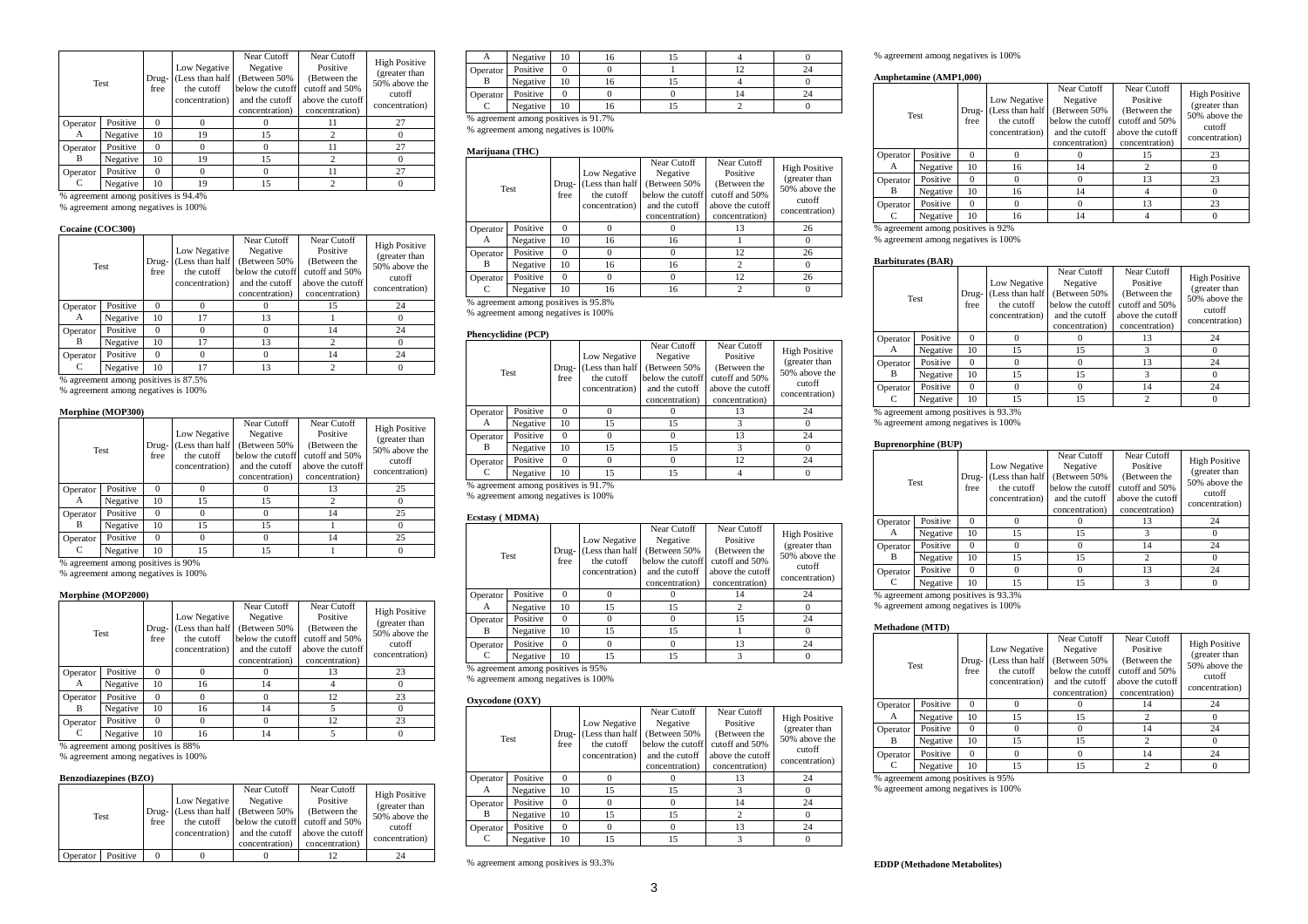| <b>Test</b> |          | Drug-<br>free | Low Negative<br>(Less than half<br>the cutoff<br>concentration) | Near Cutoff<br>Negative<br>(Between 50%)<br>below the cutoff<br>and the cutoff<br>concentration) | Near Cutoff<br>Positive<br>(Between the<br>cutoff and 50%<br>above the cutoff<br>concentration) | <b>High Positive</b><br>(greater than<br>50% above the<br>cutoff<br>concentration) |
|-------------|----------|---------------|-----------------------------------------------------------------|--------------------------------------------------------------------------------------------------|-------------------------------------------------------------------------------------------------|------------------------------------------------------------------------------------|
| Operator    | Positive | $\Omega$      | 0                                                               |                                                                                                  | 11                                                                                              | 27                                                                                 |
| А           | Negative | 10            | 19                                                              | 15                                                                                               | 2                                                                                               |                                                                                    |
| Operator    | Positive | $\Omega$      | 0                                                               |                                                                                                  | 11                                                                                              | 27                                                                                 |
| В           | Negative | 10            | 19                                                              | 15                                                                                               | $\overline{c}$                                                                                  |                                                                                    |
| Operator    | Positive | $\Omega$      | 0                                                               |                                                                                                  | 11                                                                                              | 27                                                                                 |
|             | Negative | 10            | 19                                                              | 15                                                                                               | $\overline{c}$                                                                                  |                                                                                    |

% agreement among positives is 94.4% % agreement among negatives is 100%

# **Cocaine (COC300)**

|          | Test     | Drug-<br>free | Low Negative<br>(Less than half<br>the cutoff<br>concentration) | Near Cutoff<br>Negative<br>Between 50%<br>below the cutoff<br>and the cutoff<br>concentration) | Near Cutoff<br>Positive<br>(Between the<br>cutoff and 50%<br>above the cutoff<br>concentration) | <b>High Positive</b><br>(greater than<br>50% above the<br>cutoff<br>concentration) |
|----------|----------|---------------|-----------------------------------------------------------------|------------------------------------------------------------------------------------------------|-------------------------------------------------------------------------------------------------|------------------------------------------------------------------------------------|
| Operator | Positive | 0             |                                                                 |                                                                                                | 15                                                                                              | 24                                                                                 |
| А        | Negative | 10            | 17                                                              | 13                                                                                             |                                                                                                 |                                                                                    |
| Operator | Positive | $\Omega$      |                                                                 |                                                                                                | 14                                                                                              | 24                                                                                 |
| в        | Negative | 10            | 17                                                              | 13                                                                                             |                                                                                                 |                                                                                    |
| Operator | Positive | 0             |                                                                 |                                                                                                | 14                                                                                              | 24                                                                                 |
|          | Negative | 10            |                                                                 | 13                                                                                             |                                                                                                 |                                                                                    |

% agreement among positives is 87.5%

% agreement among negatives is 100%

### **Morphine (MOP300)**

|                                    | <b>Test</b> | Drug-<br>free | Low Negative<br>Less than half<br>the cutoff<br>concentration) | Near Cutoff<br>Negative<br>(Between 50%)<br>below the cutoff<br>and the cutoff<br>concentration) | Near Cutoff<br>Positive<br>(Between the<br>cutoff and 50%<br>above the cutoff<br>concentration) | <b>High Positive</b><br>(greater than<br>50% above the<br>cutoff<br>concentration) |
|------------------------------------|-------------|---------------|----------------------------------------------------------------|--------------------------------------------------------------------------------------------------|-------------------------------------------------------------------------------------------------|------------------------------------------------------------------------------------|
| Operator                           | Positive    | $\Omega$      |                                                                |                                                                                                  | 13                                                                                              | 25                                                                                 |
| А                                  | Negative    | 10            | 15                                                             | 15                                                                                               |                                                                                                 |                                                                                    |
| Operator                           | Positive    | $\Omega$      |                                                                |                                                                                                  | 14                                                                                              | 25                                                                                 |
| В                                  | Negative    | 10            | 15                                                             | 15                                                                                               |                                                                                                 |                                                                                    |
| Operator                           | Positive    | $\Omega$      |                                                                | 0                                                                                                | 14                                                                                              | 25                                                                                 |
|                                    | Negative    | 10            | 15                                                             | 15                                                                                               |                                                                                                 |                                                                                    |
| % agreement among positives is 90% |             |               |                                                                |                                                                                                  |                                                                                                 |                                                                                    |

% agreement among positives is 90% % agreement among negatives is 100%

# **Morphine (MOP2000)**

| Test     |          | Drug-<br>free | Low Negative<br>Less than half<br>the cutoff<br>concentration) | Near Cutoff<br>Negative<br>Between 50%<br>below the cutoff<br>and the cutoff<br>concentration) | Near Cutoff<br>Positive<br>(Between the<br>cutoff and 50%<br>above the cutoff<br>concentration) | <b>High Positive</b><br>(greater than<br>50% above the<br>cutoff<br>concentration) |
|----------|----------|---------------|----------------------------------------------------------------|------------------------------------------------------------------------------------------------|-------------------------------------------------------------------------------------------------|------------------------------------------------------------------------------------|
| Operator | Positive | $\Omega$      |                                                                |                                                                                                | 13                                                                                              | 23                                                                                 |
| A        | Negative | 10            | 16                                                             | 14                                                                                             |                                                                                                 |                                                                                    |
| Operator | Positive | $\Omega$      |                                                                |                                                                                                | 12                                                                                              | 23                                                                                 |
| в        | Negative | 10            | 16                                                             | 14                                                                                             |                                                                                                 | 0                                                                                  |
| Operator | Positive | $\Omega$      |                                                                | 0                                                                                              | 12                                                                                              | 23                                                                                 |
|          | Negative | 10            | 16                                                             | 14                                                                                             |                                                                                                 |                                                                                    |

% agreement among positives is 88%

% agreement among negatives is 100%

# **Benzodiazepines (BZO)**

|          | Test     | free | Low Negative<br>Drug- (Less than half<br>the cutoff<br>concentration) | Near Cutoff<br>Negative<br>(Between 50%)<br>below the cutoff<br>and the cutoff<br>concentration) | Near Cutoff<br>Positive<br>(Between the<br>cutoff and 50%<br>above the cutoff<br>concentration) | <b>High Positive</b><br>(greater than<br>50% above the<br>cutoff<br>concentration) |
|----------|----------|------|-----------------------------------------------------------------------|--------------------------------------------------------------------------------------------------|-------------------------------------------------------------------------------------------------|------------------------------------------------------------------------------------|
| Operator | Positive | 0    |                                                                       |                                                                                                  |                                                                                                 |                                                                                    |

|          | Negative                             | 10 | ،o |  |  |
|----------|--------------------------------------|----|----|--|--|
| Operator | Positive                             |    |    |  |  |
|          | Negative                             | 10 | ιo |  |  |
| Operator | Positive                             |    |    |  |  |
|          | Negative                             | 10 | ın |  |  |
|          | % agreement among positives is 91.7% |    |    |  |  |

% agreement among negatives is 100%

### **Marijuana (THC)**

| Test     |                                      | Drug-<br>free | Low Negative<br>(Less than half<br>the cutoff<br>concentration) | Near Cutoff<br>Negative<br>(Between 50%)<br>below the cutoff<br>and the cutoff<br>concentration) | Near Cutoff<br>Positive<br>(Between the<br>cutoff and 50%<br>above the cutoff<br>concentration) | <b>High Positive</b><br>(greater than<br>50% above the<br>cutoff<br>concentration) |
|----------|--------------------------------------|---------------|-----------------------------------------------------------------|--------------------------------------------------------------------------------------------------|-------------------------------------------------------------------------------------------------|------------------------------------------------------------------------------------|
| Operator | Positive                             | 0             |                                                                 |                                                                                                  | 13                                                                                              | 26                                                                                 |
| А        | Negative                             | 10            | 16                                                              | 16                                                                                               |                                                                                                 |                                                                                    |
| Operator | Positive                             | 0             |                                                                 | $^{()}$                                                                                          | 12                                                                                              | 26                                                                                 |
| B        | Negative                             | 10            | 16                                                              | 16                                                                                               | $\overline{c}$                                                                                  |                                                                                    |
| Operator | Positive                             | $\Omega$      | 0                                                               | $\Omega$                                                                                         | 12                                                                                              | 26                                                                                 |
|          | Negative                             | 10            | 16                                                              | 16                                                                                               | $\overline{c}$                                                                                  |                                                                                    |
|          | % agreement among positives is 95.8% |               |                                                                 |                                                                                                  |                                                                                                 |                                                                                    |

% agreement among negatives is 100%

# **Phencyclidine (PCP)**

| Test     |                                      | Drug-<br>free | Low Negative<br>(Less than half<br>the cutoff<br>concentration) | Near Cutoff<br>Negative<br>(Between 50%)<br>below the cutoff<br>and the cutoff<br>concentration) | Near Cutoff<br>Positive<br>(Between the<br>cutoff and 50%<br>above the cutoff<br>concentration) | <b>High Positive</b><br>(greater than<br>50% above the<br>cutoff<br>concentration) |
|----------|--------------------------------------|---------------|-----------------------------------------------------------------|--------------------------------------------------------------------------------------------------|-------------------------------------------------------------------------------------------------|------------------------------------------------------------------------------------|
| Operator | Positive                             | 0             | $^{(1)}$                                                        |                                                                                                  | 13                                                                                              | 24                                                                                 |
| А        | Negative                             | 10            | 15                                                              | 15                                                                                               |                                                                                                 |                                                                                    |
| Operator | Positive                             | $\Omega$      | 0                                                               | 0                                                                                                | 13                                                                                              | 24                                                                                 |
| B        | Negative                             | 10            | 15                                                              | 15                                                                                               |                                                                                                 |                                                                                    |
| Operator | Positive                             | $\Omega$      |                                                                 | 0                                                                                                | 12                                                                                              | 24                                                                                 |
|          | Negative                             | 10            | 15                                                              | 15                                                                                               |                                                                                                 |                                                                                    |
|          | % agreement among positives is 91.7% |               |                                                                 |                                                                                                  |                                                                                                 |                                                                                    |

% agreement among positives is 91.7% % agreement among negatives is 100%

# **Ecstasy ( MDMA)**

| Test     |          | Drug-<br>free | Low Negative<br>(Less than half<br>the cutoff<br>concentration) | Near Cutoff<br>Negative<br>(Between 50%)<br>below the cutoff<br>and the cutoff<br>concentration) | Near Cutoff<br>Positive<br>(Between the<br>cutoff and 50%<br>above the cutoff<br>concentration) | <b>High Positive</b><br>(greater than<br>50% above the<br>cutoff<br>concentration) |
|----------|----------|---------------|-----------------------------------------------------------------|--------------------------------------------------------------------------------------------------|-------------------------------------------------------------------------------------------------|------------------------------------------------------------------------------------|
| Operator | Positive |               |                                                                 |                                                                                                  | 14                                                                                              | 24                                                                                 |
| A        | Negative | 10            | 15                                                              | 15                                                                                               |                                                                                                 |                                                                                    |
| Operator | Positive |               |                                                                 |                                                                                                  | 15                                                                                              | 24                                                                                 |
| В        | Negative | 10            | 15                                                              | 15                                                                                               |                                                                                                 |                                                                                    |
| Operator | Positive | $\Omega$      | 0                                                               | 0                                                                                                | 13                                                                                              | 24                                                                                 |
|          | Negative | 10            | 15                                                              | 15                                                                                               |                                                                                                 |                                                                                    |

% agreement among positives is 95%

% agreement among negatives is 100%

# **Oxycodone (OXY)**

| Test     |          | Drug-<br>free | Low Negative<br>(Less than half<br>the cutoff<br>concentration) | Near Cutoff<br>Negative<br>(Between 50%)<br>below the cutoff<br>and the cutoff<br>concentration) | Near Cutoff<br>Positive<br>(Between the<br>cutoff and 50%<br>above the cutoff<br>concentration) | <b>High Positive</b><br>(greater than<br>50% above the<br>cutoff<br>concentration) |
|----------|----------|---------------|-----------------------------------------------------------------|--------------------------------------------------------------------------------------------------|-------------------------------------------------------------------------------------------------|------------------------------------------------------------------------------------|
| Operator | Positive |               |                                                                 |                                                                                                  | 13                                                                                              | 24                                                                                 |
| A        | Negative | 10            | 15                                                              | 15                                                                                               | 3                                                                                               | 0                                                                                  |
| Operator | Positive | 0             | $\Omega$                                                        | $\Omega$                                                                                         | 14                                                                                              | 24                                                                                 |
| В        | Negative | 10            | 15                                                              | 15                                                                                               | 2                                                                                               | 0                                                                                  |
| Operator | Positive | $\Omega$      | $^{(1)}$                                                        | 0                                                                                                | 13                                                                                              | 24                                                                                 |
|          | Negative | 10            | 15                                                              | 15                                                                                               | 3                                                                                               | $\Omega$                                                                           |

# % agreement among negatives is 100%

#### **Amphetamine (AMP1,000)**

| <b>Test</b> |                                    | Drug-<br>free | Low Negative<br>(Less than half<br>the cutoff<br>concentration) | Near Cutoff<br>Negative<br>Between 50%<br>below the cutoff<br>and the cutoff<br>concentration) | Near Cutoff<br>Positive<br>(Between the<br>cutoff and 50%<br>above the cutoff<br>concentration) | <b>High Positive</b><br>(greater than<br>50% above the<br>cutoff<br>concentration) |
|-------------|------------------------------------|---------------|-----------------------------------------------------------------|------------------------------------------------------------------------------------------------|-------------------------------------------------------------------------------------------------|------------------------------------------------------------------------------------|
| Operator    | Positive                           | $\Omega$      |                                                                 |                                                                                                | 15                                                                                              | 23                                                                                 |
| А           | Negative                           | 10            | 16                                                              | 14                                                                                             | $\overline{c}$                                                                                  | 0                                                                                  |
| Operator    | Positive                           | $\Omega$      | $\Omega$                                                        |                                                                                                | 13                                                                                              | 23                                                                                 |
| B           | Negative                           | 10            | 16                                                              | 14                                                                                             |                                                                                                 | 0                                                                                  |
| Operator    | Positive                           | $\Omega$      | $\Omega$                                                        | O                                                                                              | 13                                                                                              | 23                                                                                 |
| C           | Negative                           | 10            | 16                                                              | 14                                                                                             |                                                                                                 | $\Omega$                                                                           |
|             | % agreement among positives is 92% |               |                                                                 |                                                                                                |                                                                                                 |                                                                                    |

% agreement among negatives is 100%

### **Barbiturates (BAR)**

|          | <b>Test</b>                                                                      | Drug-<br>free | Low Negative<br>(Less than half<br>the cutoff<br>concentration) | Near Cutoff<br>Negative<br>(Between 50%)<br>below the cutoff<br>and the cutoff<br>concentration) | Near Cutoff<br>Positive<br>(Between the<br>cutoff and 50%<br>above the cutoff<br>concentration) | <b>High Positive</b><br>(greater than<br>50% above the<br>cutoff<br>concentration) |
|----------|----------------------------------------------------------------------------------|---------------|-----------------------------------------------------------------|--------------------------------------------------------------------------------------------------|-------------------------------------------------------------------------------------------------|------------------------------------------------------------------------------------|
| Operator | Positive                                                                         | $\Omega$      |                                                                 | 13                                                                                               | 24                                                                                              |                                                                                    |
| А        | 10<br>Negative<br>15<br>15<br>Positive<br>$\Omega$<br>15<br>10<br>15<br>Negative |               | 0                                                               |                                                                                                  |                                                                                                 |                                                                                    |
| Operator |                                                                                  |               |                                                                 |                                                                                                  | 13                                                                                              | 24                                                                                 |
| B        |                                                                                  |               |                                                                 |                                                                                                  |                                                                                                 |                                                                                    |
| Operator | Positive                                                                         | $\Omega$      |                                                                 |                                                                                                  | 14                                                                                              | 24                                                                                 |
|          | Negative                                                                         | 10            | 15                                                              | 15                                                                                               | ↑                                                                                               |                                                                                    |

% agreement among positives is 93.3% % agreement among negatives is 100%

#### **Buprenorphine (BUP)**

|          | <b>Test</b>                          | Drug-<br>free | Low Negative<br>(Less than half<br>the cutoff<br>concentration) | Near Cutoff<br>Negative<br>(Between 50%<br>below the cutoff<br>and the cutoff<br>concentration) | Near Cutoff<br>Positive<br>(Between the<br>cutoff and 50%<br>above the cutoff<br>concentration) | <b>High Positive</b><br>(greater than<br>50% above the<br>cutoff<br>concentration) |
|----------|--------------------------------------|---------------|-----------------------------------------------------------------|-------------------------------------------------------------------------------------------------|-------------------------------------------------------------------------------------------------|------------------------------------------------------------------------------------|
| Operator | Positive                             | $\Omega$      |                                                                 |                                                                                                 | 13                                                                                              | 24                                                                                 |
| А        | Negative                             | 10            | 15                                                              | 15                                                                                              | 3                                                                                               | $\Omega$                                                                           |
| Operator | Positive                             | $\Omega$      |                                                                 | 0                                                                                               | 14                                                                                              | 24                                                                                 |
| B        | Negative                             | 10            | 15                                                              | 15                                                                                              | $\overline{c}$                                                                                  | $\Omega$                                                                           |
| Operator | Positive                             | $\Omega$      | $\Omega$                                                        | 0                                                                                               | 13                                                                                              | 24                                                                                 |
| C        | Negative                             | 10            | 15                                                              | 15                                                                                              | 3                                                                                               | $\Omega$                                                                           |
|          | % agreement among positives is 93.3% |               |                                                                 |                                                                                                 |                                                                                                 |                                                                                    |

% agreement among negatives is 100%

# **Methadone (MTD)**

| Test<br>Positive<br>Operator |          | Drug-<br>free | Low Negative<br>(Less than half<br>the cutoff<br>concentration) | Near Cutoff<br>Negative<br>(Between 50%)<br>below the cutoff<br>and the cutoff<br>concentration) | Near Cutoff<br>Positive<br>(Between the<br>cutoff and 50%<br>above the cutoff<br>concentration) | <b>High Positive</b><br>(greater than<br>50% above the<br>cutoff<br>concentration) |
|------------------------------|----------|---------------|-----------------------------------------------------------------|--------------------------------------------------------------------------------------------------|-------------------------------------------------------------------------------------------------|------------------------------------------------------------------------------------|
|                              |          |               |                                                                 |                                                                                                  | 14                                                                                              | 24                                                                                 |
| А                            | Negative | 10            | 15                                                              | 15                                                                                               |                                                                                                 |                                                                                    |
| Operator                     | Positive |               | 0                                                               |                                                                                                  | 14                                                                                              | 24                                                                                 |
| в                            | Negative | 10            | 15                                                              | 15                                                                                               |                                                                                                 |                                                                                    |
| Operator                     | Positive |               |                                                                 |                                                                                                  | 14                                                                                              | 24                                                                                 |
|                              | Negative | 10            | 15                                                              | 15                                                                                               | 2                                                                                               |                                                                                    |

% agreement among positives is 95%

% agreement among negatives is 100%

# % agreement among positives is 93.3%

# **EDDP (Methadone Metabolites)**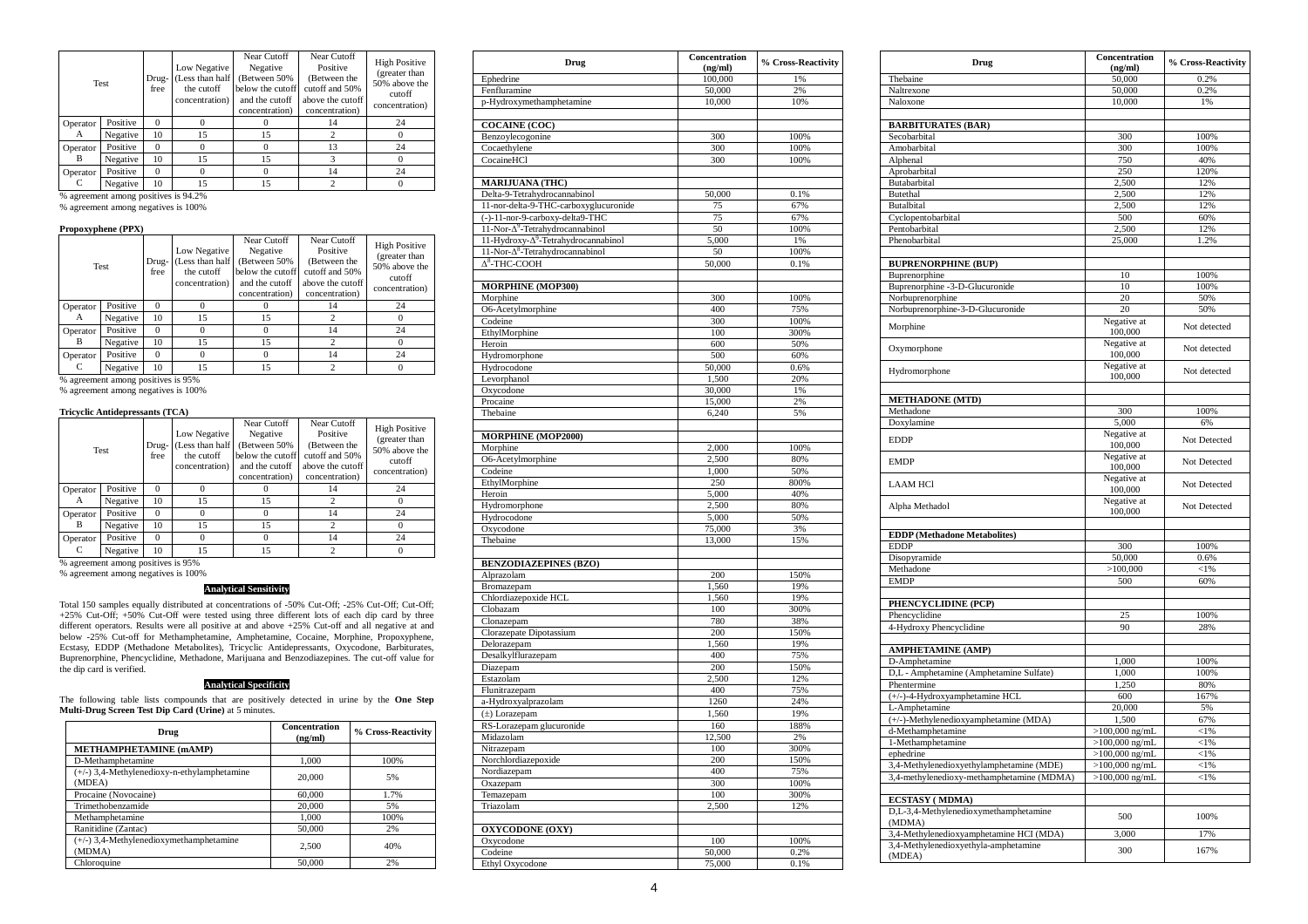| <b>Test</b> |          | Drug-<br>free | Low Negative<br>(Less than half<br>the cutoff<br>concentration) | Near Cutoff<br>Negative<br>(Between 50%)<br>below the cutoff<br>and the cutoff<br>concentration) | Near Cutoff<br>Positive<br>(Between the<br>cutoff and 50%<br>above the cutoff<br>concentration) | <b>High Positive</b><br>(greater than<br>50% above the<br>cutoff<br>concentration) |
|-------------|----------|---------------|-----------------------------------------------------------------|--------------------------------------------------------------------------------------------------|-------------------------------------------------------------------------------------------------|------------------------------------------------------------------------------------|
| Operator    | Positive | $\Omega$      | $\Omega$                                                        |                                                                                                  | 14                                                                                              | 24                                                                                 |
| A           | Negative | 10            | 15                                                              | 15                                                                                               | 2                                                                                               |                                                                                    |
| Operator    | Positive | $\Omega$      | $\Omega$                                                        |                                                                                                  | 13                                                                                              | 24                                                                                 |
| В           | Negative | 10            | 15                                                              | 15                                                                                               | 3                                                                                               |                                                                                    |
| Operator    | Positive | $\Omega$      | $\Omega$                                                        |                                                                                                  | 14                                                                                              | 24                                                                                 |
| C           | Negative | 10            | 15                                                              | 15                                                                                               | 2                                                                                               |                                                                                    |

% agreement among positives is 94.2% % agreement among negatives is 100%

# **Propoxyphene (PPX)**

|          | Test     | Drug-<br>free | Low Negative<br>(Less than half<br>the cutoff<br>concentration) | Near Cutoff<br>Negative<br>(Between 50%<br>below the cutoff<br>and the cutoff<br>concentration) | Near Cutoff<br>Positive<br>(Between the<br>cutoff and 50%<br>above the cutoff<br>concentration) | <b>High Positive</b><br>(greater than<br>50% above the<br>cutoff<br>concentration) |
|----------|----------|---------------|-----------------------------------------------------------------|-------------------------------------------------------------------------------------------------|-------------------------------------------------------------------------------------------------|------------------------------------------------------------------------------------|
| Operator | Positive | $\Omega$      | 0                                                               |                                                                                                 | 14                                                                                              | 24                                                                                 |
| А        | Negative | 10            | 15                                                              | 15                                                                                              |                                                                                                 |                                                                                    |
| Operator | Positive | $\Omega$      | 0                                                               |                                                                                                 | 14                                                                                              | 24                                                                                 |
| В        | Negative | 10            | 15                                                              | 15                                                                                              |                                                                                                 |                                                                                    |
| Operator | Positive | $\Omega$      |                                                                 |                                                                                                 | 14                                                                                              | 24                                                                                 |
|          | Negative | 10            | 15                                                              | 15                                                                                              |                                                                                                 |                                                                                    |

% agreement among positives is 95% % agreement among negatives is 100%

# **Tricyclic Antidepressants (TCA)**

| Test     |          | Drug-<br>free        | Low Negative<br>the cutoff<br>concentration)                                                | Near Cutoff<br>Negative<br>(Between 50%)<br>below the cutoff<br>and the cutoff<br>concentration) | Near Cutoff<br>Positive<br>(Between the<br>cutoff and 50%<br>above the cutoff<br>concentration) | <b>High Positive</b><br>(greater than<br>50% above the<br>cutoff<br>concentration) |
|----------|----------|----------------------|---------------------------------------------------------------------------------------------|--------------------------------------------------------------------------------------------------|-------------------------------------------------------------------------------------------------|------------------------------------------------------------------------------------|
| Operator | Positive | $\Omega$             |                                                                                             |                                                                                                  | 14                                                                                              | 24                                                                                 |
| A        | Negative | 10                   | Less than half<br>15<br>15<br>24<br>14<br>$^{(1)}$<br>15<br>15<br>24<br>14<br>0<br>15<br>15 |                                                                                                  |                                                                                                 |                                                                                    |
| Operator | Positive | $\Omega$             |                                                                                             |                                                                                                  |                                                                                                 |                                                                                    |
| B        | Negative | 10<br>$\Omega$<br>10 |                                                                                             |                                                                                                  |                                                                                                 |                                                                                    |
| Operator | Positive |                      |                                                                                             |                                                                                                  |                                                                                                 |                                                                                    |
|          | Negative |                      |                                                                                             |                                                                                                  |                                                                                                 |                                                                                    |

% agreement among positives is 95% % agreement among negatives is 100%

**Analytical Sensitivity**

Total 150 samples equally distributed at concentrations of -50% Cut-Off; -25% Cut-Off; Cut-Off; -25% Cut-Off; -425% Cut-Off were tested using three different lost of each dip card by three distributed different operators. the dip card is verified.

# **Analytical Specificity**

The following table lists compounds that are positively detected in urine by the **One Step Multi-Drug Screen Test Dip Card (Urine)** at 5 minutes.

| Drug                                                  | Concentration<br>(ng/ml) | % Cross-Reactivity |
|-------------------------------------------------------|--------------------------|--------------------|
| <b>METHAMPHETAMINE (mAMP)</b>                         |                          |                    |
| D-Methamphetamine                                     | 1,000                    | 100%               |
| (+/-) 3,4-Methylenedioxy-n-ethylamphetamine<br>(MDEA) | 20,000                   | 5%                 |
| Procaine (Novocaine)                                  | 60,000                   | 1.7%               |
| Trimethobenzamide                                     | 20,000                   | 5%                 |
| Methamphetamine                                       | 1.000                    | 100%               |
| Ranitidine (Zantac)                                   | 50,000                   | 2%                 |
| $(+/-)$ 3,4-Methylenedioxymethamphetamine<br>(MDMA)   | 2.500                    | 40%                |
| Chloroquine                                           | 50,000                   | 2%                 |

| Drug                                            | Concentration<br>(ng/ml) | % Cross-Reactivity |
|-------------------------------------------------|--------------------------|--------------------|
| Ephedrine                                       | 100,000                  | 1%                 |
| Fenfluramine                                    | 50,000                   | 2%                 |
| p-Hydroxymethamphetamine                        | 10,000                   | 10%                |
|                                                 |                          |                    |
| <b>COCAINE (COC)</b>                            |                          |                    |
| Benzoylecogonine                                | 300                      | 100%               |
| Cocaethylene                                    | 300                      | 100%               |
| CocaineHCl                                      | 300                      | 100%               |
| <b>MARIJUANA (THC)</b>                          |                          |                    |
| Delta-9-Tetrahydrocannabinol                    | 50,000                   | 0.1%               |
| 11-nor-delta-9-THC-carboxyglucuronide           | 75                       | 67%                |
| (-)-11-nor-9-carboxy-delta9-THC                 | 75                       | 67%                |
| 11-Nor-Δ <sup>9</sup> -Tetrahydrocannabinol     | 50                       | 100%               |
| 11-Hydroxy-Δ <sup>9</sup> -Tetrahydrocannabinol | 5,000                    | 1%                 |
| 11-Nor-Δ <sup>8</sup> -Tetrahydrocannabinol     | 50                       | 100%               |
| $\Delta^8$ -THC-COOH                            | 50,000                   | 0.1%               |
|                                                 |                          |                    |
| <b>MORPHINE (MOP300)</b><br>Morphine            | 300                      | 100%               |
| O6-Acetylmorphine                               | 400                      | 75%                |
| Codeine                                         | 300                      | 100%               |
| EthylMorphine                                   | 100                      | 300%               |
| Heroin                                          | 600                      | 50%                |
| Hydromorphone                                   | 500                      | 60%                |
| Hydrocodone                                     | 50,000                   | 0.6%               |
| Levorphanol                                     | 1,500                    | 20%                |
| Oxycodone                                       | 30,000                   | 1%                 |
| Procaine                                        | 15,000                   | 2%                 |
| Thebaine                                        | 6,240                    | 5%                 |
| <b>MORPHINE (MOP2000)</b>                       |                          |                    |
| Morphine                                        | 2,000                    | 100%               |
| O6-Acetylmorphine                               | 2,500                    | 80%                |
| Codeine                                         | 1,000                    | 50%                |
| EthylMorphine                                   | 250                      | 800%               |
| Heroin                                          | 5,000                    | 40%                |
| Hydromorphone                                   | 2,500                    | 80%                |
| Hydrocodone                                     | 5,000                    | 50%                |
| Oxycodone<br>Thebaine                           | 75,000<br>13,000         | 3%<br>15%          |
|                                                 |                          |                    |
| <b>BENZODIAZEPINES (BZO)</b>                    |                          |                    |
| Alprazolam                                      | 200                      | 150%               |
| Bromazepam                                      | 1,560                    | 19%                |
| Chlordiazepoxide HCL                            | 1,560                    | 19%                |
| Clobazam                                        | 100                      | 300%               |
| Clonazepam                                      | 780                      | 38%                |
| Clorazepate Dipotassium<br>Delorazepam          | 200<br>1,560             | 150%<br>19%        |
| Desalkylflurazepam                              | 400                      | 75%                |
| Diazepam                                        | 200                      | 150%               |
| Estazolam                                       | 2,500                    | 12%                |
| Flunitrazepam                                   | 400                      | 75%                |
| a-Hydroxyalprazolam                             | 1260                     | 24%                |
| $(\pm)$ Lorazepam                               | 1,560                    | 19%                |
| RS-Lorazepam glucuronide                        | 160                      | 188%               |
| Midazolam                                       | 12,500                   | 2%                 |
| Nitrazepam                                      | 100                      | 300%               |
| Norchlordiazepoxide                             | 200                      | 150%               |
| Nordiazepam                                     | 400                      | 75%                |
| Oxazepam                                        | 300                      | 100%               |
| Temazepam                                       | 100                      | 300%               |
| Triazolam                                       | 2,500                    | 12%                |
| <b>OXYCODONE</b> (OXY)                          |                          |                    |
| Oxycodone                                       | 100                      | 100%               |
| Codeine                                         | 50,000                   | 0.2%               |
| Ethyl Oxycodone                                 | 75,000                   | 0.1%               |

| Drug                                      | Concentration<br>(ng/ml) | % Cross-Reactivity |
|-------------------------------------------|--------------------------|--------------------|
| Thebaine                                  | 50,000                   | 0.2%               |
| Naltrexone                                | 50,000                   | 0.2%               |
| Naloxone                                  | 10,000                   | 1%                 |
|                                           |                          |                    |
| <b>BARBITURATES (BAR)</b>                 |                          |                    |
| Secobarbital                              | 300                      | 100%               |
| Amobarbital                               | 300                      | 100%               |
| Alphenal                                  | 750                      | 40%                |
| Aprobarbital                              | 250                      | 120%               |
| Butabarbital                              | 2,500                    | 12%                |
| Butethal                                  | 2,500                    | 12%                |
| <b>Butalbital</b>                         | 2,500                    | 12%                |
| Cyclopentobarbital                        | 500                      | 60%                |
| Pentobarbital<br>Phenobarbital            | 2,500<br>25,000          | 12%<br>1.2%        |
|                                           |                          |                    |
| <b>BUPRENORPHINE (BUP)</b>                |                          |                    |
| Buprenorphine                             | 10                       | 100%               |
| Buprenorphine -3-D-Glucuronide            | 10                       | 100%               |
| Norbuprenorphine                          | 20                       | 50%                |
| Norbuprenorphine-3-D-Glucuronide          | 20                       | 50%                |
|                                           | Negative at              |                    |
| Morphine                                  | 100,000                  | Not detected       |
| Oxymorphone                               | Negative at<br>100,000   | Not detected       |
| Hydromorphone                             | Negative at<br>100,000   | Not detected       |
|                                           |                          |                    |
| <b>METHADONE</b> (MTD)                    |                          |                    |
| Methadone                                 | 300                      | 100%               |
| Doxylamine                                | 5,000                    | 6%                 |
| <b>EDDP</b>                               | Negative at<br>100,000   | Not Detected       |
| <b>EMDP</b>                               | Negative at<br>100,000   | Not Detected       |
| <b>LAAM HCI</b>                           | Negative at<br>100,000   | Not Detected       |
| Alpha Methadol                            | Negative at<br>100,000   | Not Detected       |
|                                           |                          |                    |
| <b>EDDP</b> (Methadone Metabolites)       |                          |                    |
| <b>EDDP</b>                               | 300                      | 100%               |
| Disopyramide                              | 50,000                   | 0.6%               |
| Methadone                                 | >100,000                 | < 1%               |
| <b>EMDP</b>                               | 500                      | 60%                |
|                                           |                          |                    |
| PHENCYCLIDINE (PCP)                       |                          |                    |
| Phencyclidine                             | 25<br>90                 | 100%<br>28%        |
| 4-Hydroxy Phencyclidine                   |                          |                    |
| <b>AMPHETAMINE (AMP)</b>                  |                          |                    |
| D-Amphetamine                             | 1,000                    | 100%               |
| D,L - Amphetamine (Amphetamine Sulfate)   | 1,000                    | 100%               |
| Phentermine                               | 1,250                    | 80%                |
| (+/-)-4-Hydroxyamphetamine HCL            | 600                      | 167%               |
| L-Amphetamine                             | 20,000                   | 5%                 |
| (+/-)-Methylenedioxyamphetamine (MDA)     | 1,500                    | 67%                |
| d-Methamphetamine                         | $>100,000$ ng/mL         | $< 1\%$            |
| 1-Methamphetamine                         | $>100,000$ ng/mL         | $< 1\%$            |
| ephedrine                                 | $>100,000$ ng/mL         | < 1%               |
| 3,4-Methylenedioxyethylamphetamine (MDE)  | $>100,000$ ng/mL         | $<$ 1%             |
| 3,4-methylenedioxy-methamphetamine (MDMA) | $>100,000$ ng/mL         | $<$ 1%             |
| <b>ECSTASY</b> (MDMA)                     |                          |                    |
| D,L-3,4-Methylenedioxymethamphetamine     |                          |                    |
| (MDMA)                                    | 500                      | 100%               |
| 3,4-Methylenedioxyamphetamine HCI (MDA)   | 3,000                    | 17%                |
| 3,4-Methylenedioxyethyla-amphetamine      | 300                      | 167%               |
| (MDEA)                                    |                          |                    |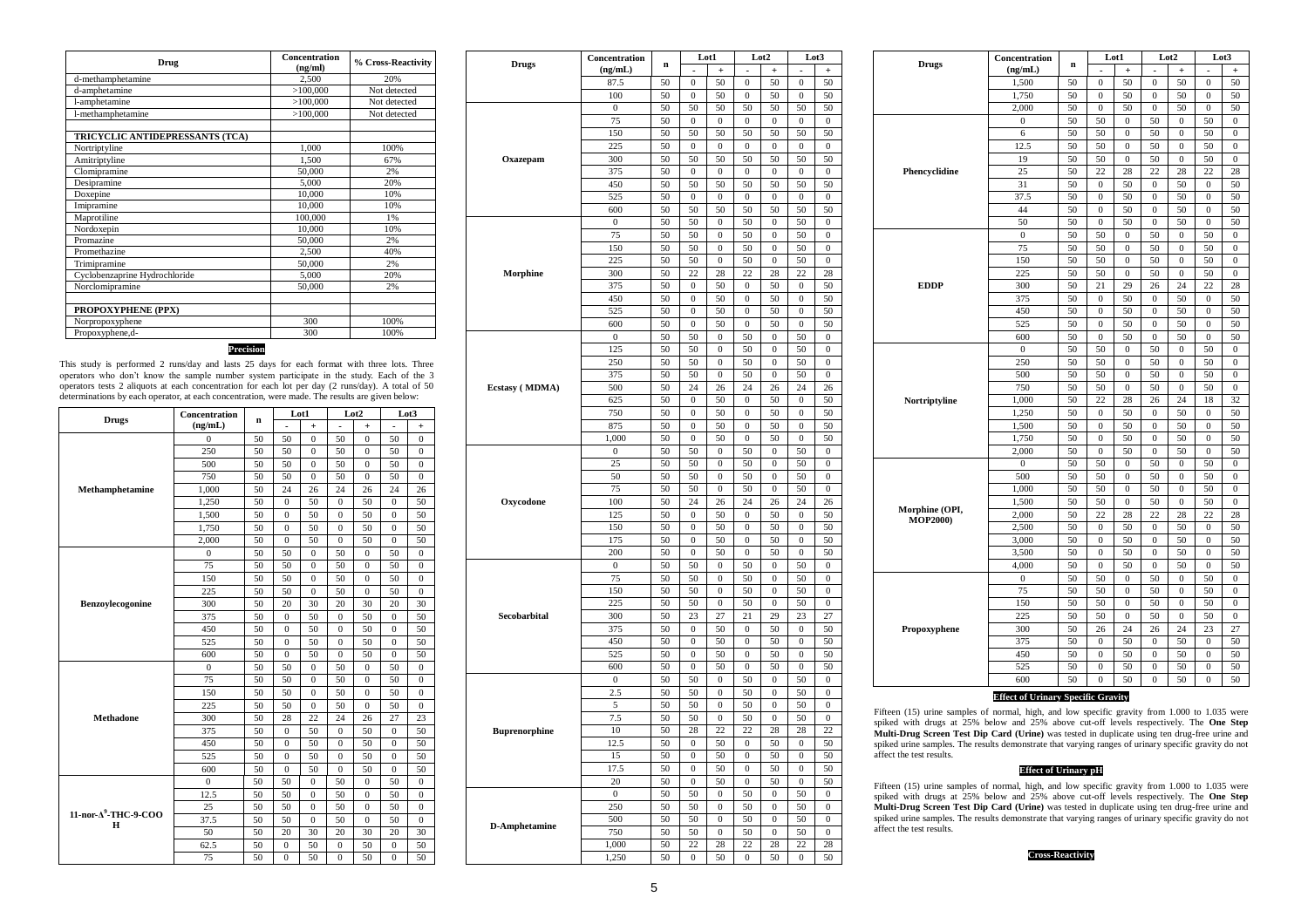| Drug                            | <b>Concentration</b><br>(ng/ml) | % Cross-Reactivity |
|---------------------------------|---------------------------------|--------------------|
| d-methamphetamine               | 2.500                           | 20%                |
| d-amphetamine                   | >100,000                        | Not detected       |
| l-amphetamine                   | >100,000                        | Not detected       |
| l-methamphetamine               | >100,000                        | Not detected       |
| TRICYCLIC ANTIDEPRESSANTS (TCA) |                                 |                    |
| Nortriptyline                   | 1,000                           | 100%               |
| Amitriptyline                   | 1.500                           | 67%                |
| Clomipramine                    | 50,000                          | 2%                 |
| Desipramine                     | 5,000                           | 20%                |
| Doxepine                        | 10,000                          | 10%                |
| Imipramine                      | 10,000                          | 10%                |
| Maprotiline                     | 100,000                         | 1%                 |
| Nordoxepin                      | 10,000                          | 10%                |
| Promazine                       | 50,000                          | 2%                 |
| Promethazine                    | 2.500                           | 40%                |
| Trimipramine                    | 50,000                          | 2%                 |
| Cyclobenzaprine Hydrochloride   | 5,000                           | 20%                |
| Norclomipramine                 | 50,000                          | 2%                 |
| PROPOXYPHENE (PPX)              |                                 |                    |
| Norpropoxyphene                 | 300                             | 100%               |
| Propoxyphene,d-                 | 300                             | 100%               |

# **Precision**

This study is performed 2 runs/day and lasts 25 days for each format with three lots. Three operators who don't know the sample number system participate in the study. Each of the 3 operators tests 2 aliquots at each concentration for each lot per day (2 runs/day). A total of 50 determinations by each operator, at each concentration, were made. The results are given below:

|                                       | Concentration |    | Lot1             |              | Lot <sub>2</sub> |              | Lot3         |                |
|---------------------------------------|---------------|----|------------------|--------------|------------------|--------------|--------------|----------------|
| <b>Drugs</b>                          | (ng/mL)       | n  |                  | $^{+}$       |                  | $+$          |              | $^{+}$         |
|                                       | $\mathbf{0}$  | 50 | 50               | $\Omega$     | 50               | $\Omega$     | 50           | $\theta$       |
|                                       | 250           | 50 | 50               | 0            | 50               | 0            | 50           | 0              |
|                                       | 500           | 50 | 50               | $\mathbf{0}$ | 50               | 0            | 50           | 0              |
|                                       | 750           | 50 | 50               | $\Omega$     | 50               | $\Omega$     | 50           | $\Omega$       |
| Methamphetamine                       | 1,000         | 50 | 24               | 26           | 24               | 26           | 24           | 26             |
|                                       | 1,250         | 50 | $\boldsymbol{0}$ | 50           | $\mathbf{0}$     | 50           | $\mathbf{0}$ | 50             |
|                                       | 1,500         | 50 | $\mathbf{0}$     | 50           | $\mathbf{0}$     | 50           | $\theta$     | 50             |
|                                       | 1,750         | 50 | $\mathbf{0}$     | 50           | $\Omega$         | 50           | $\theta$     | 50             |
|                                       | 2,000         | 50 | $\theta$         | 50           | $\Omega$         | 50           | $\theta$     | 50             |
|                                       | 0             | 50 | 50               | 0            | 50               | 0            | 50           | 0              |
|                                       | 75            | 50 | 50               | $\theta$     | 50               | $\theta$     | 50           | $\theta$       |
|                                       | 150           | 50 | 50               | $\mathbf{0}$ | 50               | 0            | 50           | $\overline{0}$ |
|                                       | 225           | 50 | 50               | $\mathbf{0}$ | 50               | 0            | 50           | 0              |
| Benzovlecogonine                      | 300           | 50 | 20               | 30           | 20               | 30           | 20           | 30             |
|                                       | 375           | 50 | $\mathbf{0}$     | 50           | $\Omega$         | 50           | $\mathbf{0}$ | 50             |
|                                       | 450           | 50 | $\mathbf{0}$     | 50           | $\Omega$         | 50           | $\theta$     | 50             |
|                                       | 525           | 50 | $\overline{0}$   | 50           | $\mathbf{0}$     | 50           | $\theta$     | 50             |
|                                       | 600           | 50 | $\overline{0}$   | 50           | $\mathbf{0}$     | 50           | $\mathbf{0}$ | 50             |
|                                       | $\Omega$      | 50 | 50               | $\mathbf{0}$ | 50               | $\mathbf{0}$ | 50           | $\Omega$       |
|                                       | 75            | 50 | 50               | $\mathbf{0}$ | 50               | $\mathbf{0}$ | 50           | $\overline{0}$ |
|                                       | 150           | 50 | 50               | $\theta$     | 50               | $\Omega$     | 50           | $\theta$       |
|                                       | 225           | 50 | 50               | $\theta$     | 50               | $\theta$     | 50           | $\theta$       |
| <b>Methadone</b>                      | 300           | 50 | 28               | 22           | 24               | 26           | 27           | 23             |
|                                       | 375           | 50 | $\mathbf{0}$     | 50           | $\mathbf{0}$     | 50           | $\theta$     | 50             |
|                                       | 450           | 50 | $\mathbf{0}$     | 50           | $\Omega$         | 50           | $\theta$     | 50             |
|                                       | 525           | 50 | 0                | 50           | 0                | 50           | 0            | 50             |
|                                       | 600           | 50 | $\overline{0}$   | 50           | $\Omega$         | 50           | $\theta$     | 50             |
|                                       | $\mathbf{0}$  | 50 | 50               | $\mathbf{0}$ | 50               | 0            | 50           | 0              |
|                                       | 12.5          | 50 | 50               | $\mathbf{0}$ | 50               | $\mathbf{0}$ | 50           | $\mathbf{0}$   |
|                                       | 25            | 50 | 50               | $\mathbf{0}$ | 50               | $\mathbf{0}$ | 50           | $\mathbf{0}$   |
| 11-nor-A <sup>9</sup> -THC-9-COO<br>н | 37.5          | 50 | 50               | $\mathbf{0}$ | 50               | $\mathbf{0}$ | 50           | $\overline{0}$ |
|                                       | 50            | 50 | 20               | 30           | 20               | 30           | 20           | 30             |
|                                       | 62.5          | 50 | $\Omega$         | 50           | $\Omega$         | 50           | $\theta$     | 50             |
|                                       | 75            | 50 | $\theta$         | 50           | $\mathbf{0}$     | 50           | $\theta$     | 50             |

|                      | Concentration           | $\mathbf n$ | Lot1                   |                  | Lot2                     |                  | Lot3                   |                                          |
|----------------------|-------------------------|-------------|------------------------|------------------|--------------------------|------------------|------------------------|------------------------------------------|
|                      | <b>Drugs</b><br>(ng/mL) |             | $\blacksquare$         | $^{+}$           | $\overline{\phantom{a}}$ | $\ddot{}$        | ۰                      | $\ddot{}$                                |
|                      | 87.5                    | 50          | 0                      | 50               | 0                        | 50               | 0                      | 50                                       |
|                      | 100                     | 50          | $\mathbf{0}$           | 50               | 0                        | 50               | $\overline{0}$         | 50                                       |
|                      | $\bf{0}$                | 50          | 50                     | 50               | 50                       | 50               | 50                     | 50                                       |
|                      | 75                      | 50          | $\overline{0}$         | $\mathbf{0}$     | $\mathbf{0}$             | $\mathbf{0}$     | $\overline{0}$         | $\mathbf{0}$                             |
|                      | 150                     | 50          | 50                     | 50               | 50                       | 50               | 50                     | 50                                       |
|                      | 225                     | 50          | $\mathbf{0}$           | $\boldsymbol{0}$ | $\boldsymbol{0}$         | $\mathbf{0}$     | $\overline{0}$         | $\boldsymbol{0}$                         |
| Oxazepam             | 300                     | 50          | 50                     | 50               | 50                       | 50               | 50                     | 50                                       |
|                      | 375                     | 50          | $\boldsymbol{0}$       | $\boldsymbol{0}$ | $\boldsymbol{0}$         | $\boldsymbol{0}$ | $\boldsymbol{0}$       | $\boldsymbol{0}$                         |
|                      | 450                     | 50          | 50                     | 50               | 50                       | 50               | 50                     | 50                                       |
|                      | 525                     | 50          | 0                      | 0                | 0                        | $\bf{0}$         | 0                      | 0                                        |
|                      | 600                     | 50          | 50                     | 50               | 50                       | 50               | 50                     | 50                                       |
|                      | $\mathbf{0}$            | 50          | 50                     | $\mathbf{0}$     | 50                       | $\mathbf{0}$     | 50                     | $\mathbf{0}$                             |
|                      | 75                      | 50          | 50                     | 0                | 50                       | $\mathbf{0}$     | 50                     | $\boldsymbol{0}$                         |
|                      | 150                     | 50          | 50                     | $\boldsymbol{0}$ | 50                       | $\boldsymbol{0}$ | 50                     | $\boldsymbol{0}$                         |
|                      | 225                     | 50          | 50                     | 0                | 50                       | 0                | 50                     | 0                                        |
| Morphine             | 300                     | 50          | 22                     | 28               | 22                       | 28               | 22                     | 28                                       |
|                      | 375                     | 50          | 0                      | 50               | 0                        | 50               | 0                      | 50                                       |
|                      | 450                     | 50          | 0                      | 50               | 0                        | 50               | $\mathbf{0}$           | 50                                       |
|                      | 525                     | 50          | $\boldsymbol{0}$       | 50               | $\bf{0}$                 | 50               | $\mathbf{0}$           | 50                                       |
|                      | 600                     | 50          | $\mathbf{0}$           | 50               | $\bf{0}$                 | 50               | $\overline{0}$         | 50                                       |
|                      | $\boldsymbol{0}$        | 50          | 50                     | $\mathbf{0}$     | 50                       | $\boldsymbol{0}$ | 50                     | $\mathbf{0}$                             |
|                      | 125                     | 50          | 50                     | $\boldsymbol{0}$ | 50                       | $\mathbf{0}$     | 50                     | $\boldsymbol{0}$                         |
|                      | 250                     | 50          | 50                     | $\mathbf{0}$     | 50                       | $\mathbf{0}$     | 50                     | $\mathbf{0}$                             |
|                      | 375                     | 50          | 50                     | $\boldsymbol{0}$ | 50                       | $\boldsymbol{0}$ | 50                     | $\boldsymbol{0}$                         |
| Ecstasy (MDMA)       | 500                     | 50          | 24                     | 26               | 24                       | 26               | 24                     | 26                                       |
|                      | 625                     | 50          | $\boldsymbol{0}$       | 50               | $\bf{0}$                 | 50               | $\mathbf{0}$           | 50                                       |
|                      | 750                     | 50          | $\mathbf{0}$           | 50               | $\mathbf{0}$             | 50               | $\overline{0}$         | 50                                       |
|                      | 875                     | 50          | $\bf{0}$               | 50               | $\bf{0}$                 | 50               | $\boldsymbol{0}$       | 50                                       |
|                      | 1,000                   | 50          | $\overline{0}$         | 50               | $\overline{0}$           | 50               | $\overline{0}$         | 50                                       |
|                      | $\boldsymbol{0}$        | 50          | 50                     | $\boldsymbol{0}$ | 50                       | $\boldsymbol{0}$ | 50                     | $\boldsymbol{0}$                         |
|                      | 25                      | 50          | 50                     | $\boldsymbol{0}$ | 50                       | $\boldsymbol{0}$ | 50                     | $\boldsymbol{0}$                         |
|                      | 50                      | 50          | 50                     | 0                | 50                       | 0                | 50                     | $\mathbf{0}$                             |
|                      | 75                      | 50          | 50                     | $\boldsymbol{0}$ | 50                       | $\boldsymbol{0}$ | 50                     | $\boldsymbol{0}$                         |
| Oxycodone            | 100                     | 50          | 24                     | 26               | 24                       | 26               | 24                     | 26                                       |
|                      | 125                     | 50          | 0                      | 50               | 0                        | 50               | 0                      | 50                                       |
|                      | 150                     | 50          | $\bf{0}$               | 50               | 0                        | 50               | $\mathbf{0}$           | 50                                       |
|                      | 175                     | 50          | $\mathbf{0}$           | 50               | $\mathbf{0}$             | 50               | $\overline{0}$         | 50                                       |
|                      | 200                     | 50          | 0                      | 50               | $\bf{0}$                 | 50               | $\mathbf{0}$           | 50                                       |
|                      | $\boldsymbol{0}$        | 50          | 50                     | $\boldsymbol{0}$ | 50                       | $\boldsymbol{0}$ | 50                     | $\boldsymbol{0}$                         |
|                      | 75                      | 50          | 50                     | 0                | 50                       | 0                | 50                     | 0                                        |
|                      | 150                     | 50          | 50                     | $\boldsymbol{0}$ | 50                       | $\mathbf{0}$     | 50                     | $\boldsymbol{0}$                         |
|                      | 225                     | 50          | 50                     | 0                | 50                       | $\bf{0}$         | 50                     | 0                                        |
| Secobarbital         | 300                     | 50          | 23                     | 27               | 21                       | 29               | 23                     | 27                                       |
|                      | 375                     | 50          | $\boldsymbol{0}$       | 50               | $\mathbf{0}$             | 50               | $\boldsymbol{0}$       | 50                                       |
|                      | 450                     | 50          | $\mathbf{0}$           | 50               | $\boldsymbol{0}$         | 50               | $\mathbf{0}$           | 50                                       |
|                      |                         |             |                        |                  |                          |                  | $\mathbf{0}$           | 50                                       |
|                      | 525                     | 50          | $\mathbf{0}$           | 50               | $\mathbf{0}$             | 50               |                        |                                          |
|                      | 600                     | 50          | $\boldsymbol{0}$       | 50               | $\boldsymbol{0}$         | 50               | $\mathbf{0}$           |                                          |
|                      | $\mathbf{0}$            | 50          | 50                     | $\boldsymbol{0}$ | 50                       | $\boldsymbol{0}$ | 50                     | $\boldsymbol{0}$                         |
|                      | 2.5                     | 50          | 50                     | 0                | 50                       | $\bf{0}$         | 50                     | 0                                        |
|                      | 5                       | 50          | 50                     | $\boldsymbol{0}$ | 50                       | $\mathbf{0}$     | 50                     | $\boldsymbol{0}$                         |
|                      | 7.5                     | 50          | 50                     | $\boldsymbol{0}$ | 50                       | $\mathbf{0}$     | 50                     | $\boldsymbol{0}$                         |
| <b>Buprenorphine</b> | 10                      | 50          | 28                     | 22               | 22                       | 28               | 28                     | 22                                       |
|                      | 12.5                    | 50          | $\boldsymbol{0}$       | 50               | $\boldsymbol{0}$         | 50               | $\boldsymbol{0}$       |                                          |
|                      | 15                      | 50          | $\mathbf{0}$           | 50               | $\bf{0}$                 | 50               | $\mathbf{0}$           |                                          |
|                      | 17.5                    | 50          | $\boldsymbol{0}$       | 50               | $\boldsymbol{0}$         | 50               | $\boldsymbol{0}$       |                                          |
|                      | 20                      | 50          | 0                      | 50               | 0                        | 50               | $\boldsymbol{0}$       |                                          |
|                      | $\bf{0}$                | 50          | 50                     | $\boldsymbol{0}$ | 50                       | $\boldsymbol{0}$ | 50                     | $\bf{0}$                                 |
|                      | 250                     | 50          | 50                     | $\boldsymbol{0}$ | 50                       | $\boldsymbol{0}$ | 50                     | 50<br>$\boldsymbol{0}$                   |
| D-Amphetamine        | 500                     | 50          | 50                     | $\boldsymbol{0}$ | 50                       | $\boldsymbol{0}$ | 50                     | $\boldsymbol{0}$                         |
|                      | 750                     | 50          | 50                     | $\boldsymbol{0}$ | 50                       | $\boldsymbol{0}$ | 50                     | 50<br>50<br>50<br>50<br>$\boldsymbol{0}$ |
|                      | 1,000<br>1,250          | 50<br>50    | 22<br>$\boldsymbol{0}$ | 28<br>50         | 22<br>$\boldsymbol{0}$   | 28<br>50         | 22<br>$\boldsymbol{0}$ | 28<br>50                                 |

|                                   | Concentration    |    |                  | Lot1           |                             | Lot2             | Lot3             |                |
|-----------------------------------|------------------|----|------------------|----------------|-----------------------------|------------------|------------------|----------------|
| <b>Drugs</b>                      | (ng/mL)          |    | $\ddot{}$        |                | $\ddot{}$<br>$\overline{a}$ |                  | $\ddot{}$        |                |
|                                   | 1,500            | 50 | $\overline{0}$   | 50             | $\mathbf{0}$                | 50               | $\mathbf{0}$     | 50             |
|                                   | 1,750            | 50 | $\overline{0}$   | 50             | $\overline{0}$              | 50               | $\overline{0}$   | 50             |
|                                   | 2,000            | 50 | $\overline{0}$   | 50             | $\mathbf{0}$                | 50               | $\overline{0}$   | 50             |
|                                   | $\mathbf{0}$     | 50 | 50               | $\overline{0}$ | 50                          | $\overline{0}$   | 50               | $\mathbf{0}$   |
|                                   | 6                | 50 | 50               | $\overline{0}$ | 50                          | $\mathbf{0}$     | 50               | $\mathbf{0}$   |
|                                   | 12.5             | 50 | 50               | $\overline{0}$ | 50                          | $\mathbf{0}$     | 50               | 0              |
|                                   | 19               | 50 | 50               | $\overline{0}$ | 50                          | $\overline{0}$   | 50               | $\mathbf{0}$   |
| Phencyclidine                     | 25               | 50 | 22               | 28             | 22                          | 28               | 22               | 28             |
|                                   | 31               | 50 | $\overline{0}$   | 50             | $\theta$                    | 50               | $\theta$         | 50             |
|                                   | 37.5             | 50 | $\theta$         | 50             | $\theta$                    | 50               | $\theta$         | 50             |
|                                   | 44               | 50 | $\overline{0}$   | 50             | $\mathbf{0}$                | 50               | $\overline{0}$   | 50             |
|                                   | 50               | 50 | $\overline{0}$   | 50             | $\overline{0}$              | 50               | $\overline{0}$   | 50             |
|                                   | $\boldsymbol{0}$ | 50 | 50               | $\mathbf{0}$   | 50                          | $\boldsymbol{0}$ | 50               | $\mathbf{0}$   |
|                                   | 75               | 50 | 50               | $\overline{0}$ | 50                          | $\overline{0}$   | 50               | $\mathbf{0}$   |
|                                   | 150              | 50 | 50               | $\overline{0}$ | 50                          | $\bf{0}$         | 50               | $\mathbf{0}$   |
|                                   | 225              | 50 | 50               | $\theta$       | 50                          | $\Omega$         | 50               | $\Omega$       |
| <b>EDDP</b>                       | 300              | 50 | 21               | 29             | 26                          | 24               | 22               | 28             |
|                                   | 375              | 50 | $\mathbf{0}$     | 50             | $\overline{0}$              | 50               | $\overline{0}$   | 50             |
|                                   | 450              | 50 | $\mathbf{0}$     | 50             | 0                           | 50               | $\mathbf{0}$     | 50             |
|                                   | 525              | 50 | $\theta$         | 50             | $\theta$                    | 50               | $\overline{0}$   | 50             |
|                                   | 600              | 50 | $\overline{0}$   | 50             | $\overline{0}$              | 50               | $\mathbf{0}$     | 50             |
|                                   | $\mathbf{0}$     | 50 | 50               | $\overline{0}$ | 50                          | $\overline{0}$   | 50               | $\mathbf{0}$   |
|                                   | 250              | 50 | 50               | $\overline{0}$ | 50                          | $\overline{0}$   | 50               | $\mathbf{0}$   |
|                                   | 500              | 50 | 50               | $\overline{0}$ | 50                          | $\overline{0}$   | 50               | $\overline{0}$ |
|                                   | 750              | 50 | 50               | $\theta$       | 50                          | $\theta$         | 50               | $\Omega$       |
| Nortriptyline                     | 1,000            | 50 | 22               | 28             | 26                          | 24               | 18               | 32             |
|                                   | 1,250            | 50 | $\overline{0}$   | 50             | $\overline{0}$              | 50               | $\overline{0}$   | 50             |
|                                   | 1,500            | 50 | $\overline{0}$   | 50             | 0                           | 50               | $\mathbf{0}$     | 50             |
|                                   | 1,750            | 50 | $\mathbf{0}$     | 50             | $\bf{0}$                    | 50               | $\bf{0}$         | 50             |
|                                   | 2,000            | 50 | $\overline{0}$   | 50             | $\theta$                    | 50               | $\theta$         | 50             |
|                                   | $\mathbf{0}$     | 50 | 50               | $\overline{0}$ | 50                          | $\overline{0}$   | 50               | $\overline{0}$ |
|                                   | 500              | 50 | 50               | $\theta$       | 50                          | $\mathbf{0}$     | 50               | $\Omega$       |
|                                   | 1,000            | 50 | 50               | $\overline{0}$ | 50                          | $\overline{0}$   | 50               | $\overline{0}$ |
|                                   | 1,500            | 50 | 50               | $\overline{0}$ | 50                          | $\overline{0}$   | 50               | $\overline{0}$ |
| Morphine (OPI,<br><b>MOP2000)</b> | 2.000            | 50 | 22               | 28             | 22                          | 28               | 22               | 28             |
|                                   | 2,500            | 50 | $\overline{0}$   | 50             | $\mathbf{0}$                | 50               | $\mathbf{0}$     | 50             |
|                                   | 3,000            | 50 | $\overline{0}$   | 50             | $\overline{0}$              | 50               | $\overline{0}$   | 50             |
|                                   | 3,500            | 50 | $\overline{0}$   | 50             | 0                           | 50               | $\mathbf{0}$     | 50             |
|                                   | 4.000            | 50 | $\overline{0}$   | 50             | $\mathbf{0}$                | 50               | $\mathbf{0}$     | 50             |
|                                   | $\mathbf{0}$     | 50 | 50               | $\mathbf{0}$   | 50                          | $\mathbf{0}$     | 50               | $\mathbf{0}$   |
|                                   | 75               | 50 | 50               | $\theta$       | 50                          | $\overline{0}$   | 50               | $\mathbf{0}$   |
|                                   | 150              | 50 | 50               | $\theta$       | 50                          | $\theta$         | 50               | $\theta$       |
|                                   | 225              | 50 | 50               | $\theta$       | 50                          | $\theta$         | 50               | $\theta$       |
| Propoxyphene                      | 300              | 50 | 26               | 24             | 26                          | 24               | 23               | 27             |
|                                   | 375              | 50 | $\overline{0}$   | 50             | $\overline{0}$              | 50               | $\overline{0}$   | 50             |
|                                   | 450              | 50 | $\boldsymbol{0}$ | 50             | $\mathbf{0}$                | 50               | $\boldsymbol{0}$ | 50             |
|                                   | 525              | 50 | $\overline{0}$   | 50             | $\theta$                    | 50               | $\theta$         | 50             |
|                                   | 600              | 50 | $\overline{0}$   | 50             | $\mathbf{0}$                | 50               | $\mathbf{0}$     | 50             |
|                                   |                  |    |                  |                |                             |                  |                  |                |

**Effect of Urinary Specific Gravity**

Fifteen (15) urine samples of normal, high, and low specific gravity from 1.000 to 1.035 were spiked with drugs at 25% below and 25% above cut-off levels respectively. The **One Step Step Come Step 10** and 25% above cut-off affect the test results.

# **Effect of Urinary pH**

Fifteen (15) urine samples of normal, high, and low specific gravity from 1.000 to 1.035 were spiked with drugs at 25% below and 25% above cut-off levels respectively. The **One Step Multi-Drug Screen Test Dip Card** (Urine) affect the test results.